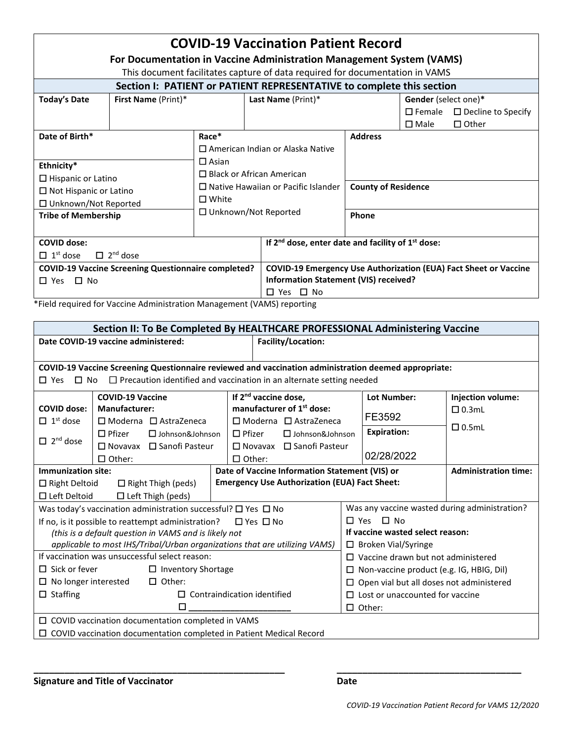| <b>COVID-19 Vaccination Patient Record</b><br>For Documentation in Vaccine Administration Management System (VAMS)<br>This document facilitates capture of data required for documentation in VAMS |                            |                                                                                                                                                                                                      |                    |                                                                                                                  |                                               |                                                         |  |  |  |  |  |
|----------------------------------------------------------------------------------------------------------------------------------------------------------------------------------------------------|----------------------------|------------------------------------------------------------------------------------------------------------------------------------------------------------------------------------------------------|--------------------|------------------------------------------------------------------------------------------------------------------|-----------------------------------------------|---------------------------------------------------------|--|--|--|--|--|
| Section I: PATIENT or PATIENT REPRESENTATIVE to complete this section                                                                                                                              |                            |                                                                                                                                                                                                      |                    |                                                                                                                  |                                               |                                                         |  |  |  |  |  |
| <b>Today's Date</b>                                                                                                                                                                                | <b>First Name</b> (Print)* |                                                                                                                                                                                                      | Last Name (Print)* |                                                                                                                  | <b>Gender</b> (select one)*<br>$\square$ Male | $\Box$ Female $\Box$ Decline to Specify<br>$\Box$ Other |  |  |  |  |  |
| Date of Birth*<br>Ethnicity*<br>$\Box$ Hispanic or Latino                                                                                                                                          |                            | Race*<br>$\Box$ American Indian or Alaska Native<br>$\Box$ Asian<br>$\Box$ Black or African American<br>$\Box$ Native Hawaiian or Pacific Islander<br>$\square$ White<br>$\Box$ Unknown/Not Reported |                    | <b>Address</b>                                                                                                   |                                               |                                                         |  |  |  |  |  |
| $\Box$ Not Hispanic or Latino<br>□ Unknown/Not Reported                                                                                                                                            |                            |                                                                                                                                                                                                      |                    | <b>County of Residence</b>                                                                                       |                                               |                                                         |  |  |  |  |  |
| <b>Tribe of Membership</b>                                                                                                                                                                         |                            |                                                                                                                                                                                                      |                    | Phone                                                                                                            |                                               |                                                         |  |  |  |  |  |
| <b>COVID dose:</b><br>$\Box$ 2 <sup>nd</sup> dose<br>$\Box$ 1 <sup>st</sup> dose                                                                                                                   |                            |                                                                                                                                                                                                      |                    | If 2 <sup>nd</sup> dose, enter date and facility of 1 <sup>st</sup> dose:                                        |                                               |                                                         |  |  |  |  |  |
| <b>COVID-19 Vaccine Screening Questionnaire completed?</b><br>$\Box$ Yes<br>$\Box$ No                                                                                                              |                            |                                                                                                                                                                                                      | □ Yes □ No         | <b>COVID-19 Emergency Use Authorization (EUA) Fact Sheet or Vaccine</b><br>Information Statement (VIS) received? |                                               |                                                         |  |  |  |  |  |

\*Field required for Vaccine Administration Management (VAMS) reporting

| Section II: To Be Completed By HEALTHCARE PROFESSIONAL Administering Vaccine                           |                         |                                                                |                                       |                                                      |                                                                |                                 |                                                                               |                   |  |  |
|--------------------------------------------------------------------------------------------------------|-------------------------|----------------------------------------------------------------|---------------------------------------|------------------------------------------------------|----------------------------------------------------------------|---------------------------------|-------------------------------------------------------------------------------|-------------------|--|--|
| Date COVID-19 vaccine administered:<br>Facility/Location:                                              |                         |                                                                |                                       |                                                      |                                                                |                                 |                                                                               |                   |  |  |
|                                                                                                        |                         |                                                                |                                       |                                                      |                                                                |                                 |                                                                               |                   |  |  |
| COVID-19 Vaccine Screening Questionnaire reviewed and vaccination administration deemed appropriate:   |                         |                                                                |                                       |                                                      |                                                                |                                 |                                                                               |                   |  |  |
| $\Box$ Precaution identified and vaccination in an alternate setting needed<br>$\Box$ Yes<br>$\Box$ No |                         |                                                                |                                       |                                                      |                                                                |                                 |                                                                               |                   |  |  |
|                                                                                                        | <b>COVID-19 Vaccine</b> |                                                                |                                       | If 2 <sup>nd</sup> vaccine dose,                     |                                                                |                                 | <b>Lot Number:</b>                                                            | Injection volume: |  |  |
| <b>Manufacturer:</b><br><b>COVID dose:</b>                                                             |                         |                                                                | manufacturer of 1 <sup>st</sup> dose: |                                                      |                                                                |                                 |                                                                               | $\Box$ 0.3mL      |  |  |
| $\Box$ 1 <sup>st</sup> dose                                                                            | □ Moderna □ AstraZeneca |                                                                |                                       | $\Box$ Moderna $\Box$ AstraZeneca                    |                                                                |                                 | FE3592                                                                        | $\Box$ 0.5mL      |  |  |
|                                                                                                        | $\Box$ Pfizer           | $\Box$ Johnson&Johnson<br>$\Box$ Novavax $\Box$ Sanofi Pasteur |                                       | $\Box$ Pfizer                                        | $\Box$ Johnson&Johnson<br>$\Box$ Novavax $\Box$ Sanofi Pasteur |                                 | <b>Expiration:</b>                                                            |                   |  |  |
| $\Box$ 2 <sup>nd</sup> dose                                                                            |                         |                                                                |                                       |                                                      |                                                                |                                 |                                                                               |                   |  |  |
|                                                                                                        | $\Box$ Other:           |                                                                |                                       | $\Box$ Other:                                        |                                                                |                                 | 02/28/2022                                                                    |                   |  |  |
| Immunization site:                                                                                     |                         |                                                                |                                       |                                                      |                                                                |                                 | Date of Vaccine Information Statement (VIS) or<br><b>Administration time:</b> |                   |  |  |
| $\Box$ Right Deltoid                                                                                   |                         | $\Box$ Right Thigh (peds)                                      |                                       | <b>Emergency Use Authorization (EUA) Fact Sheet:</b> |                                                                |                                 |                                                                               |                   |  |  |
| $\Box$ Left Deltoid<br>$\Box$ Left Thigh (peds)                                                        |                         |                                                                |                                       |                                                      |                                                                |                                 |                                                                               |                   |  |  |
| Was today's vaccination administration successful? $\Box$ Yes $\Box$ No                                |                         |                                                                |                                       |                                                      |                                                                |                                 | Was any vaccine wasted during administration?                                 |                   |  |  |
| If no, is it possible to reattempt administration?<br>$\Box$ Yes $\Box$ No                             |                         |                                                                |                                       |                                                      |                                                                |                                 | $\Box$ Yes<br>$\Box$ No                                                       |                   |  |  |
| (this is a default question in VAMS and is likely not                                                  |                         |                                                                |                                       |                                                      |                                                                |                                 | If vaccine wasted select reason:                                              |                   |  |  |
| applicable to most IHS/Tribal/Urban organizations that are utilizing VAMS)                             |                         |                                                                |                                       |                                                      |                                                                |                                 | $\Box$ Broken Vial/Syringe                                                    |                   |  |  |
| If vaccination was unsuccessful select reason:                                                         |                         |                                                                |                                       |                                                      |                                                                |                                 | $\Box$ Vaccine drawn but not administered                                     |                   |  |  |
| $\Box$ Sick or fever<br>$\Box$ Inventory Shortage                                                      |                         |                                                                |                                       |                                                      |                                                                | □                               | Non-vaccine product (e.g. IG, HBIG, Dil)                                      |                   |  |  |
| $\Box$ No longer interested<br>$\Box$ Other:                                                           |                         |                                                                |                                       |                                                      |                                                                | □                               | Open vial but all doses not administered                                      |                   |  |  |
| $\Box$ Staffing<br>П.                                                                                  |                         |                                                                | Contraindication identified           |                                                      | □                                                              | Lost or unaccounted for vaccine |                                                                               |                   |  |  |
| п                                                                                                      |                         |                                                                |                                       |                                                      |                                                                | $\Box$ Other:                   |                                                                               |                   |  |  |
| $\Box$ COVID vaccination documentation completed in VAMS                                               |                         |                                                                |                                       |                                                      |                                                                |                                 |                                                                               |                   |  |  |
| $\Box$ COVID vaccination documentation completed in Patient Medical Record                             |                         |                                                                |                                       |                                                      |                                                                |                                 |                                                                               |                   |  |  |

**\_\_\_\_\_\_\_\_\_\_\_\_\_\_\_\_\_\_\_\_\_\_\_\_\_\_\_\_\_\_\_\_\_\_\_\_\_\_\_\_\_\_\_\_\_\_\_\_\_ \_\_\_\_\_\_\_\_\_\_\_\_\_\_\_\_\_\_\_\_\_\_\_\_\_\_\_\_\_\_\_\_\_\_\_\_**